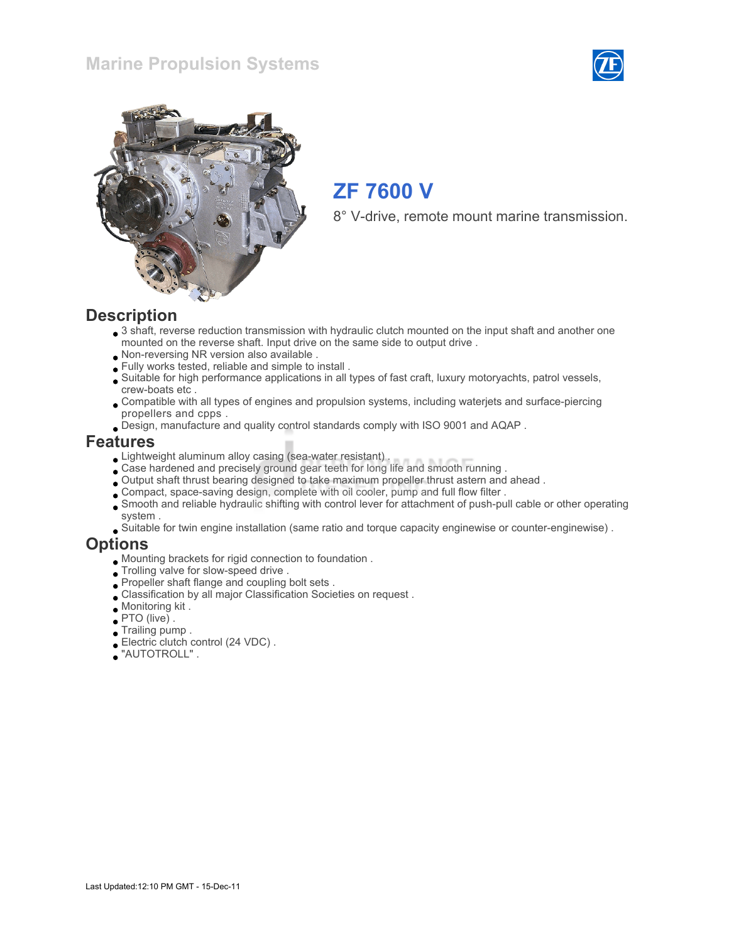## Marine Propulsion Systems





# ZF 7600 V

8° V-drive, remote mount marine transmission.

#### **Description**

- 3 shaft, reverse reduction transmission with hydraulic clutch mounted on the input shaft and another one mounted on the reverse shaft. Input drive on the same side to output drive .
- Non-reversing NR version also available .
- Fully works tested, reliable and simple to install .
- Suitable for high performance applications in all types of fast craft, luxury motoryachts, patrol vessels, crew-boats etc .
- Compatible with all types of engines and propulsion systems, including waterjets and surface-piercing propellers and cpps .
- Design, manufacture and quality control standards comply with ISO 9001 and AQAP .

#### Features

- Lightweight aluminum alloy casing (sea-water resistant) .
- Case hardened and precisely ground gear teeth for long life and smooth running .
- Output shaft thrust bearing designed to take maximum propeller thrust astern and ahead .
- Compact, space-saving design, complete with oil cooler, pump and full flow filter .
- Smooth and reliable hydraulic shifting with control lever for attachment of push-pull cable or other operating system .
- Suitable for twin engine installation (same ratio and torque capacity enginewise or counter-enginewise) .

#### **Options**

- Mounting brackets for rigid connection to foundation .
- Trolling valve for slow-speed drive .
- Propeller shaft flange and coupling bolt sets .
- Classification by all major Classification Societies on request .
- Monitoring kit .
- PTO (live) .
- Trailing pump .
- Electric clutch control (24 VDC) .
- "AUTOTROLL" .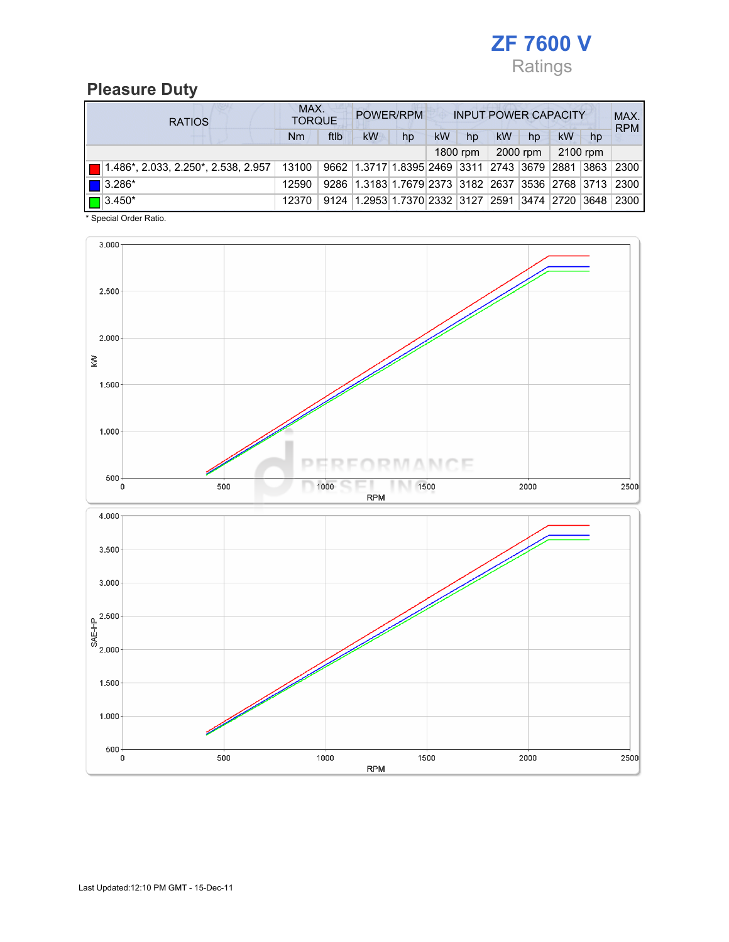

## Pleasure Duty

|  | <b>RATIOS</b>                 |       | MAX.<br><b>TORQUE</b> |                                                                         | POWER/RPM |    |            |    |          | <b>INPUT POWER CAPACITY</b> |    | MAX.<br><b>RPM</b> |
|--|-------------------------------|-------|-----------------------|-------------------------------------------------------------------------|-----------|----|------------|----|----------|-----------------------------|----|--------------------|
|  |                               | Nm    | ftlb                  | <b>kW</b>                                                               | hp        | kW | hp         | kW | hp       | kW                          | hp |                    |
|  |                               |       |                       |                                                                         |           |    | $1800$ rpm |    | 2000 rpm | 2100 rpm                    |    |                    |
|  |                               | 13100 |                       | 9662 1.3717 1.8395 2469 3311 2743 3679 2881 3863 2300                   |           |    |            |    |          |                             |    |                    |
|  | $\left  \right $ 3.286*       | 12590 |                       | 9286   1.3183   1.7679   2373   3182   2637   3536   2768   3713   2300 |           |    |            |    |          |                             |    |                    |
|  | $\boxed{\blacksquare}$ 3.450* | 12370 | 9124                  | 1.2953 1.7370 2332 3127 2591 3474 2720 3648                             |           |    |            |    |          |                             |    | 2300               |

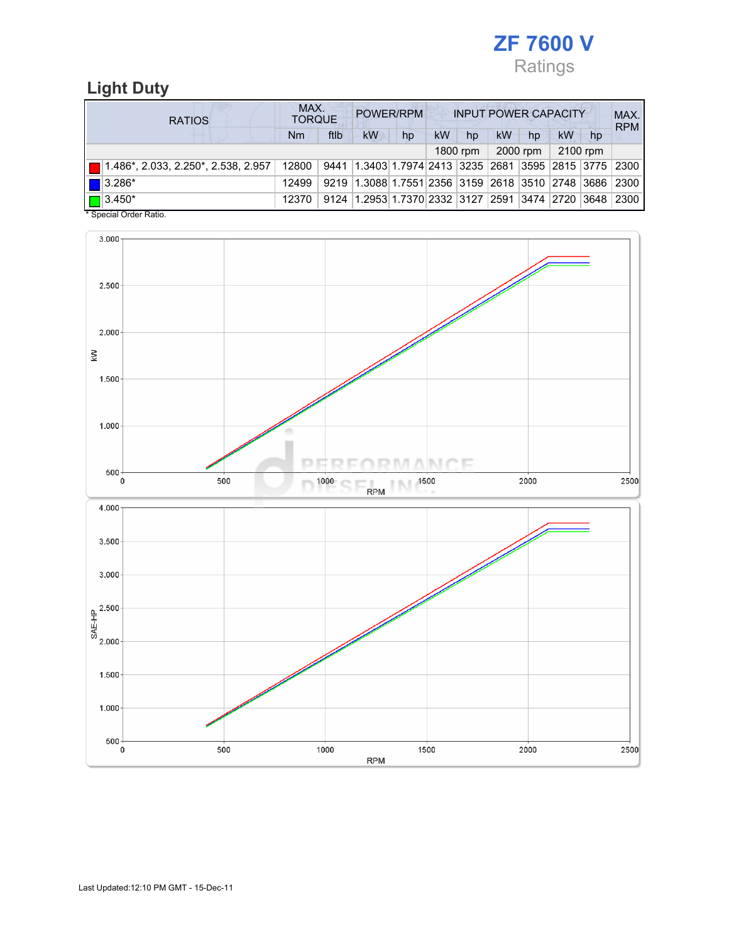

# Light Duty

| <b>RATIOS</b> |                                                    | MAX.<br><b>TORQUE</b> |      |                                                        | POWER/RPM |           |          |           |          | <b>INPUT POWER CAPACITY</b> |    | MAX.<br><b>RPM</b> |
|---------------|----------------------------------------------------|-----------------------|------|--------------------------------------------------------|-----------|-----------|----------|-----------|----------|-----------------------------|----|--------------------|
|               |                                                    | Nm                    | ftlb | <b>kW</b>                                              | hp        | <b>kW</b> | hp       | <b>kW</b> | hp       | <b>kW</b>                   | hp |                    |
|               |                                                    |                       |      |                                                        |           |           | 1800 rpm |           | 2000 rpm | 2100 rpm                    |    |                    |
|               | $\blacksquare$ 1.486*, 2.033, 2.250*, 2.538, 2.957 | 12800                 | 9441 | 1.3403 1.7974 2413  3235  2681  3595  2815  3775  2300 |           |           |          |           |          |                             |    |                    |
|               | $\blacksquare$ 3.286*                              | 12499                 |      | 9219 1.3088 1.7551 2356 3159 2618 3510 2748 3686       |           |           |          |           |          |                             |    | 2300               |
|               | $\boxed{\Box}$ 3.450*                              | 12370                 |      | 9124 1.2953 1.7370 2332 3127 2591 3474 2720 3648       |           |           |          |           |          |                             |    | 2300               |

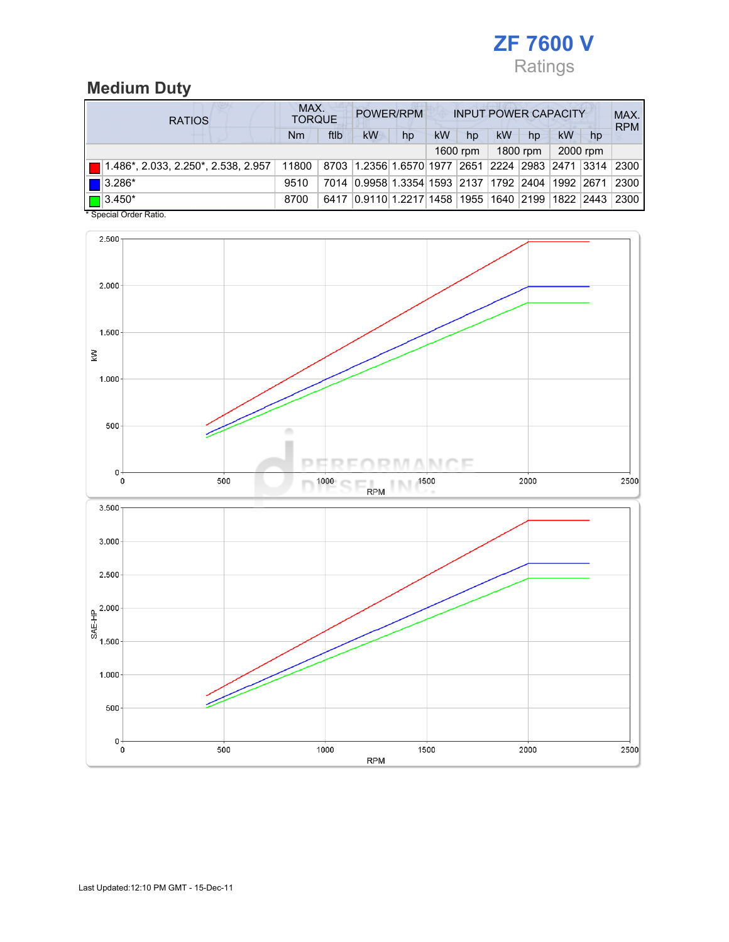

# Medium Duty

| <b>RATIOS</b>                                              |           | MAX.<br>POWER/RPM<br><b>INPUT POWER CAPACITY</b><br><b>TORQUE</b> |                                                  |    |    |          |    |          |    |          |            |
|------------------------------------------------------------|-----------|-------------------------------------------------------------------|--------------------------------------------------|----|----|----------|----|----------|----|----------|------------|
|                                                            | <b>Nm</b> | ftlb                                                              | kW                                               | hp | kW | hp       | kW | hp       | kW | hp       | <b>RPM</b> |
|                                                            |           |                                                                   |                                                  |    |    | 1600 rpm |    | 1800 rpm |    | 2000 rpm |            |
| $\boxed{\blacksquare}$ 1.486*, 2.033, 2.250*, 2.538, 2.957 | 11800     |                                                                   | 8703 1.2356 1.6570 1977 2651 2224 2983 2471 3314 |    |    |          |    |          |    |          | 2300       |
| $\blacksquare$ 3.286*                                      | 9510      |                                                                   | 7014 0.9958 1.3354 1593 2137 1792 2404 1992 2671 |    |    |          |    |          |    |          | 2300       |
| $\boxed{\Box}$ 3.450*                                      | 8700      |                                                                   | 6417 0.9110 1.2217 1458 1955 1640 2199 1822 2443 |    |    |          |    |          |    |          | 2300       |

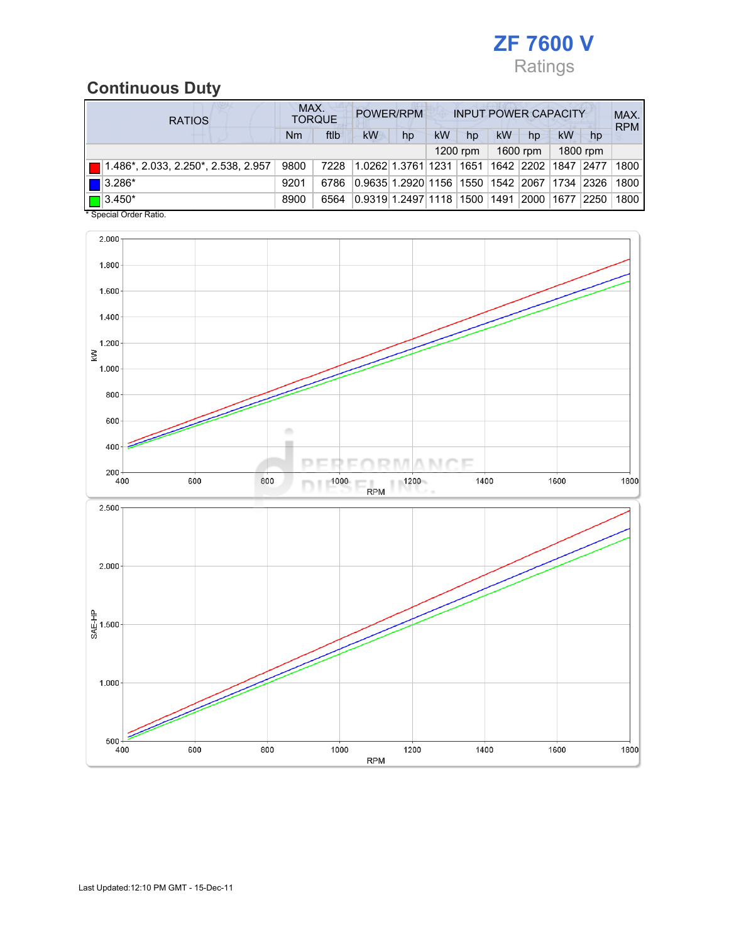

# Continuous Duty

| <b>RATIOS</b>                                              | MAX. | <b>TORQUE</b> |                                                  | POWER/RPM |           |            |           | <b>INPUT POWER CAPACITY</b> |             |                | MAX.<br><b>RPM</b> |
|------------------------------------------------------------|------|---------------|--------------------------------------------------|-----------|-----------|------------|-----------|-----------------------------|-------------|----------------|--------------------|
|                                                            | Nm   | ftlb          | kW                                               | hp        | <b>kW</b> | hp         | <b>kW</b> | hp                          | <b>kW</b>   | hp             |                    |
|                                                            |      |               |                                                  |           |           | $1200$ rpm |           | 1600 rpm                    |             | 1800 rpm       |                    |
| $\boxed{\blacksquare}$ 1.486*, 2.033, 2.250*, 2.538, 2.957 | 9800 | 7228          | 1.0262 1.3761 1231                               |           |           | 1651       |           | 1642 2202                   | 1847   2477 |                | 1800               |
| $\blacksquare$ 3.286*                                      | 9201 | 6786          | 0.9635 1.2920 1156  1550  1542  2067  1734  2326 |           |           |            |           |                             |             |                | 1800               |
| $\Box$ 3.450*<br><del>.</del>                              | 8900 | 6564          | 0.9319 1.2497 1118  1500  1491                   |           |           |            |           | 2000                        | 1677        | $ 2250\rangle$ | 1800               |

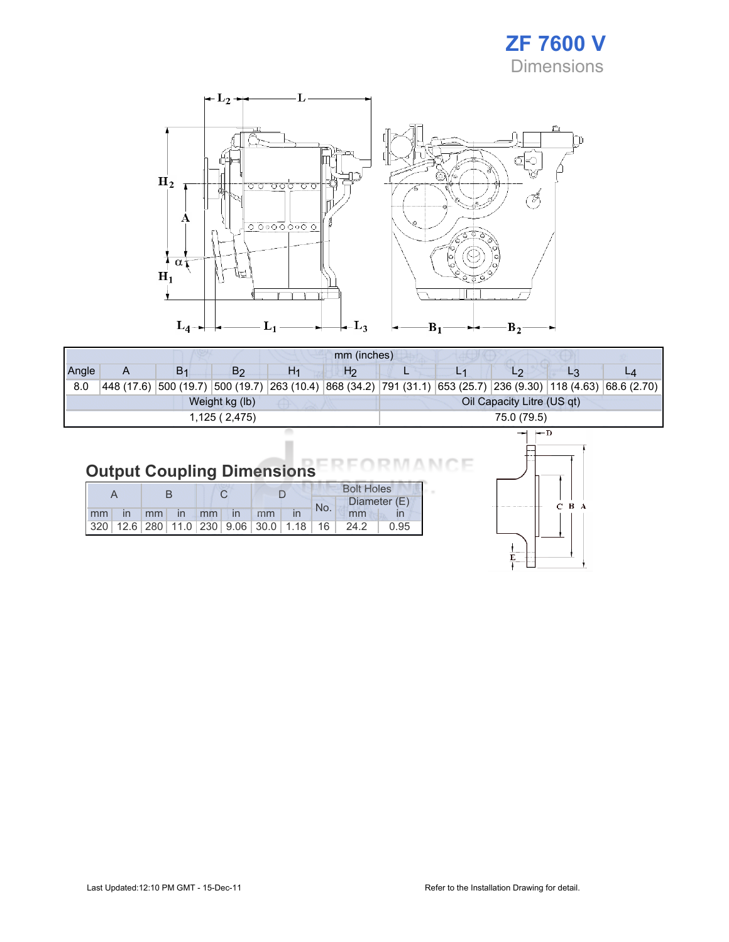



|                             |                                              |                |                |                | mm (inches)                                 |  |  |                |  |                                              |
|-----------------------------|----------------------------------------------|----------------|----------------|----------------|---------------------------------------------|--|--|----------------|--|----------------------------------------------|
| Angle                       |                                              | B <sub>1</sub> | B <sub>2</sub> | H <sub>1</sub> | H <sub>2</sub>                              |  |  | L <sub>2</sub> |  |                                              |
| 8.0                         | 448(17.6) 500(19.7)                          |                |                |                | $ 500(19.7) 263(10.4) 868(34.2) 791(31.1) $ |  |  |                |  | $ 653(25.7) 236(9.30) 118(4.63) 68.6(2.70) $ |
|                             | Oil Capacity Litre (US qt)<br>Weight kg (lb) |                |                |                |                                             |  |  |                |  |                                              |
| 75.0 (79.5)<br>1,125(2,475) |                                              |                |                |                |                                             |  |  |                |  |                                              |
|                             |                                              |                |                |                |                                             |  |  | $\leftarrow$ D |  |                                              |

#### Output Coupling Dimensions NCE

|    |  |    |               |       |               |                                                      | <b>Bolt Holes</b> |              |      |
|----|--|----|---------------|-------|---------------|------------------------------------------------------|-------------------|--------------|------|
|    |  |    |               |       |               |                                                      | No.               | Diameter (E) |      |
| mm |  | mm | $\mathsf{In}$ | $-mm$ | $\mathsf{In}$ | mm                                                   |                   | mm           |      |
|    |  |    |               |       |               | $320$   12.6   280   11.0   230   9.06   30.0   1.18 | 16 ∣              | 24.2         | 0.95 |